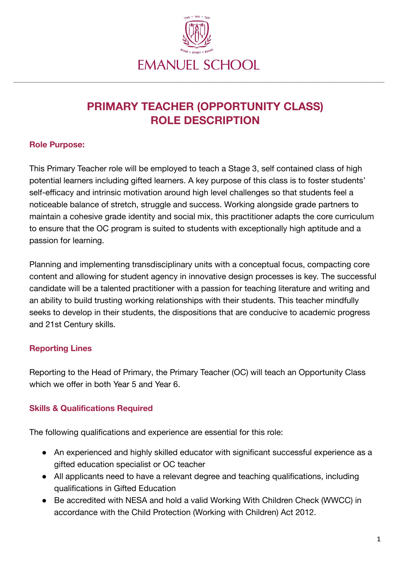

# **PRIMARY TEACHER (OPPORTUNITY CLASS) ROLE DESCRIPTION**

#### **Role Purpose:**

This Primary Teacher role will be employed to teach a Stage 3, self contained class of high potential learners including gifted learners. A key purpose of this class is to foster students' self-efficacy and intrinsic motivation around high level challenges so that students feel a noticeable balance of stretch, struggle and success. Working alongside grade partners to maintain a cohesive grade identity and social mix, this practitioner adapts the core curriculum to ensure that the OC program is suited to students with exceptionally high aptitude and a passion for learning.

Planning and implementing transdisciplinary units with a conceptual focus, compacting core content and allowing for student agency in innovative design processes is key. The successful candidate will be a talented practitioner with a passion for teaching literature and writing and an ability to build trusting working relationships with their students. This teacher mindfully seeks to develop in their students, the dispositions that are conducive to academic progress and 21st Century skills.

## **Reporting Lines**

Reporting to the Head of Primary, the Primary Teacher (OC) will teach an Opportunity Class which we offer in both Year 5 and Year 6.

## **Skills & Qualifications Required**

The following qualifications and experience are essential for this role:

- An experienced and highly skilled educator with significant successful experience as a gifted education specialist or OC teacher
- All applicants need to have a relevant degree and teaching qualifications, including qualifications in Gifted Education
- Be accredited with NESA and hold a valid Working With Children Check (WWCC) in accordance with the Child Protection (Working with Children) Act 2012.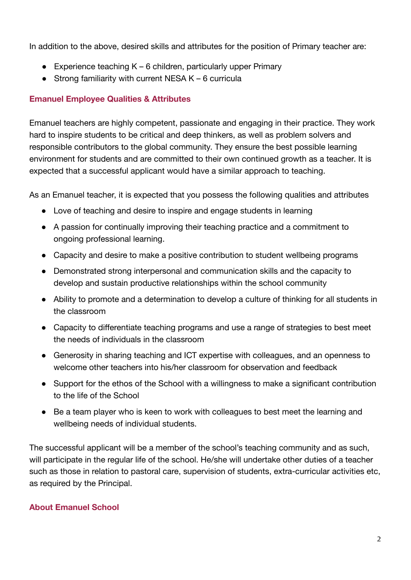In addition to the above, desired skills and attributes for the position of Primary teacher are:

- Experience teaching  $K 6$  children, particularly upper Primary
- Strong familiarity with current NESA  $K 6$  curricula

#### **Emanuel Employee Qualities & Attributes**

Emanuel teachers are highly competent, passionate and engaging in their practice. They work hard to inspire students to be critical and deep thinkers, as well as problem solvers and responsible contributors to the global community. They ensure the best possible learning environment for students and are committed to their own continued growth as a teacher. It is expected that a successful applicant would have a similar approach to teaching.

As an Emanuel teacher, it is expected that you possess the following qualities and attributes

- Love of teaching and desire to inspire and engage students in learning
- A passion for continually improving their teaching practice and a commitment to ongoing professional learning.
- Capacity and desire to make a positive contribution to student wellbeing programs
- Demonstrated strong interpersonal and communication skills and the capacity to develop and sustain productive relationships within the school community
- Ability to promote and a determination to develop a culture of thinking for all students in the classroom
- Capacity to differentiate teaching programs and use a range of strategies to best meet the needs of individuals in the classroom
- Generosity in sharing teaching and ICT expertise with colleagues, and an openness to welcome other teachers into his/her classroom for observation and feedback
- Support for the ethos of the School with a willingness to make a significant contribution to the life of the School
- Be a team player who is keen to work with colleagues to best meet the learning and wellbeing needs of individual students.

The successful applicant will be a member of the school's teaching community and as such, will participate in the regular life of the school. He/she will undertake other duties of a teacher such as those in relation to pastoral care, supervision of students, extra-curricular activities etc, as required by the Principal.

## **About Emanuel School**